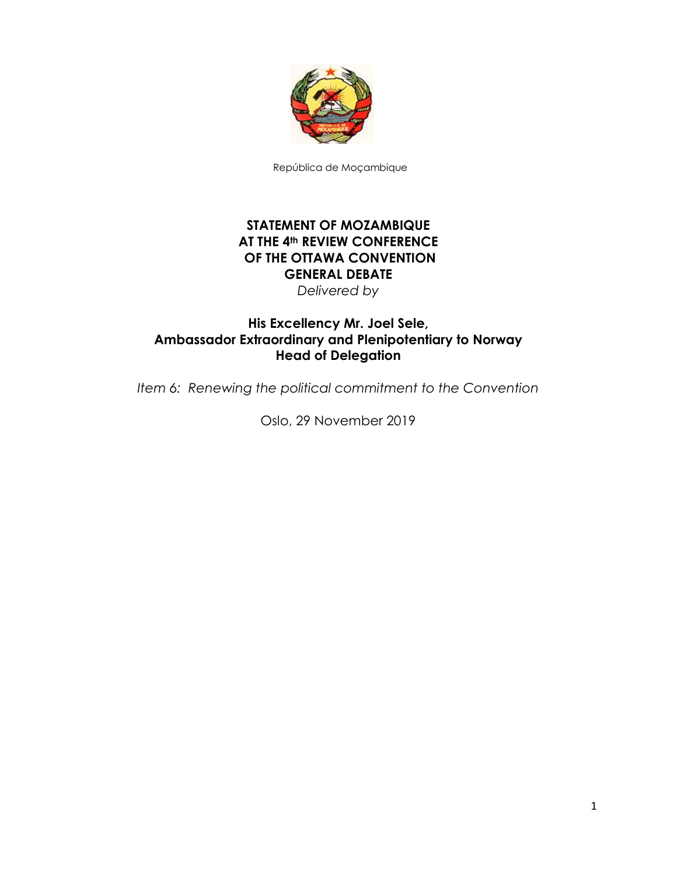

República de Moçambique

## **STATEMENT OF MOZAMBIQUE AT THE 4th REVIEW CONFERENCE OF THE OTTAWA CONVENTION GENERAL DEBATE**  *Delivered by*

## **His Excellency Mr. Joel Sele, Ambassador Extraordinary and Plenipotentiary to Norway Head of Delegation**

*Item 6: Renewing the political commitment to the Convention*

Oslo, 29 November 2019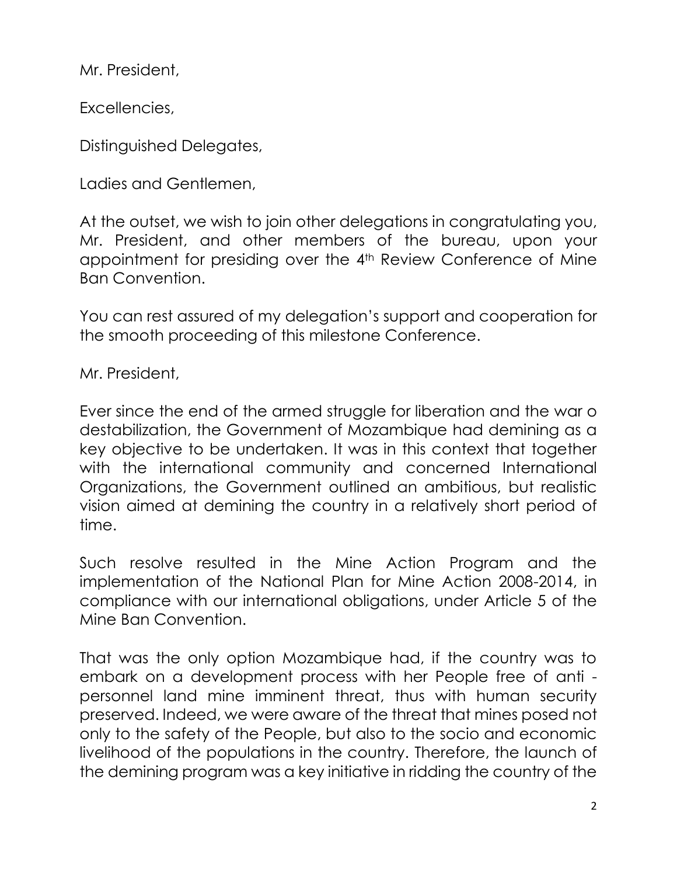Mr. President,

Excellencies,

Distinguished Delegates,

Ladies and Gentlemen,

At the outset, we wish to join other delegations in congratulating you, Mr. President, and other members of the bureau, upon your appointment for presiding over the 4<sup>th</sup> Review Conference of Mine Ban Convention.

You can rest assured of my delegation's support and cooperation for the smooth proceeding of this milestone Conference.

Mr. President,

Ever since the end of the armed struggle for liberation and the war o destabilization, the Government of Mozambique had demining as a key objective to be undertaken. It was in this context that together with the international community and concerned International Organizations, the Government outlined an ambitious, but realistic vision aimed at demining the country in a relatively short period of time.

Such resolve resulted in the Mine Action Program and the implementation of the National Plan for Mine Action 2008-2014, in compliance with our international obligations, under Article 5 of the Mine Ban Convention.

That was the only option Mozambique had, if the country was to embark on a development process with her People free of anti personnel land mine imminent threat, thus with human security preserved. Indeed, we were aware of the threat that mines posed not only to the safety of the People, but also to the socio and economic livelihood of the populations in the country. Therefore, the launch of the demining program was a key initiative in ridding the country of the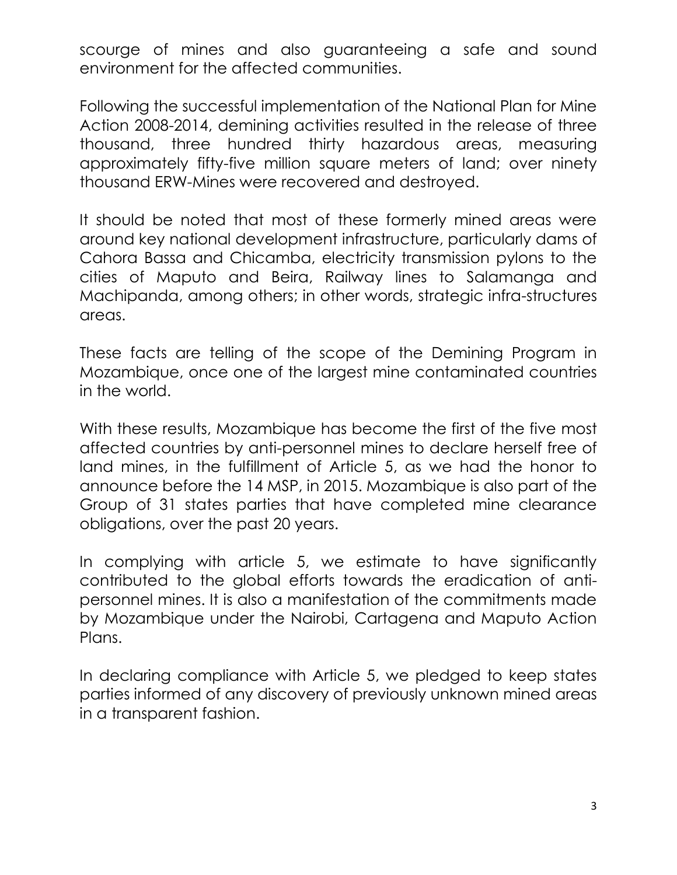scourge of mines and also guaranteeing a safe and sound environment for the affected communities.

Following the successful implementation of the National Plan for Mine Action 2008-2014, demining activities resulted in the release of three thousand, three hundred thirty hazardous areas, measuring approximately fifty-five million square meters of land; over ninety thousand ERW-Mines were recovered and destroyed.

It should be noted that most of these formerly mined areas were around key national development infrastructure, particularly dams of Cahora Bassa and Chicamba, electricity transmission pylons to the cities of Maputo and Beira, Railway lines to Salamanga and Machipanda, among others; in other words, strategic infra-structures areas.

These facts are telling of the scope of the Demining Program in Mozambique, once one of the largest mine contaminated countries in the world.

With these results, Mozambique has become the first of the five most affected countries by anti-personnel mines to declare herself free of land mines, in the fulfillment of Article 5, as we had the honor to announce before the 14 MSP, in 2015. Mozambique is also part of the Group of 31 states parties that have completed mine clearance obligations, over the past 20 years.

In complying with article 5, we estimate to have significantly contributed to the global efforts towards the eradication of antipersonnel mines. It is also a manifestation of the commitments made by Mozambique under the Nairobi, Cartagena and Maputo Action Plans.

In declaring compliance with Article 5, we pledged to keep states parties informed of any discovery of previously unknown mined areas in a transparent fashion.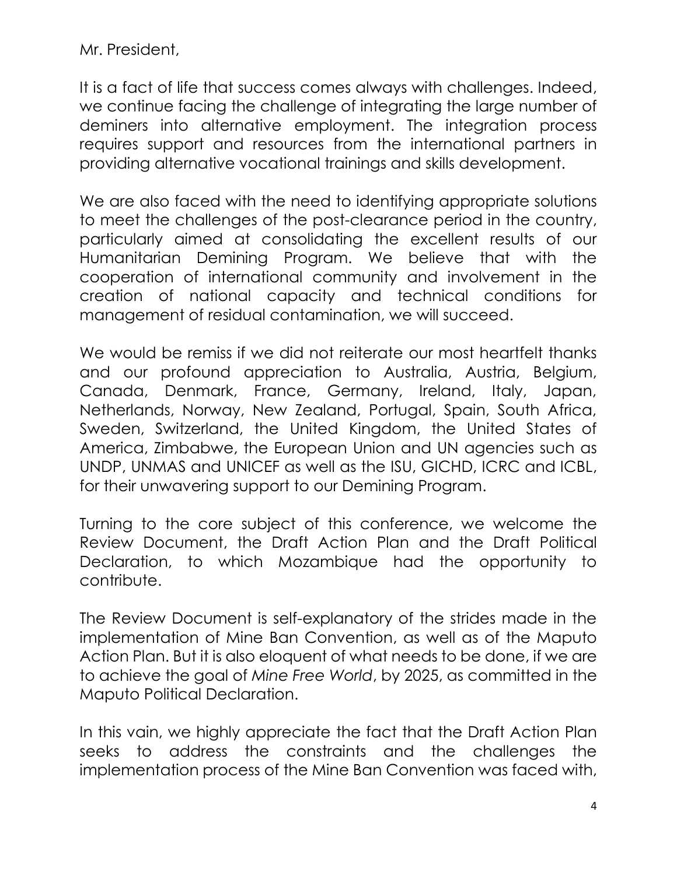Mr. President,

It is a fact of life that success comes always with challenges. Indeed, we continue facing the challenge of integrating the large number of deminers into alternative employment. The integration process requires support and resources from the international partners in providing alternative vocational trainings and skills development.

We are also faced with the need to identifying appropriate solutions to meet the challenges of the post-clearance period in the country, particularly aimed at consolidating the excellent results of our Humanitarian Demining Program. We believe that with the cooperation of international community and involvement in the creation of national capacity and technical conditions for management of residual contamination, we will succeed.

We would be remiss if we did not reiterate our most heartfelt thanks and our profound appreciation to Australia, Austria, Belgium, Canada, Denmark, France, Germany, Ireland, Italy, Japan, Netherlands, Norway, New Zealand, Portugal, Spain, South Africa, Sweden, Switzerland, the United Kingdom, the United States of America, Zimbabwe, the European Union and UN agencies such as UNDP, UNMAS and UNICEF as well as the ISU, GICHD, ICRC and ICBL, for their unwavering support to our Demining Program.

Turning to the core subject of this conference, we welcome the Review Document, the Draft Action Plan and the Draft Political Declaration, to which Mozambique had the opportunity to contribute.

The Review Document is self-explanatory of the strides made in the implementation of Mine Ban Convention, as well as of the Maputo Action Plan. But it is also eloquent of what needs to be done, if we are to achieve the goal of *Mine Free World*, by 2025, as committed in the Maputo Political Declaration.

In this vain, we highly appreciate the fact that the Draft Action Plan seeks to address the constraints and the challenges the implementation process of the Mine Ban Convention was faced with,